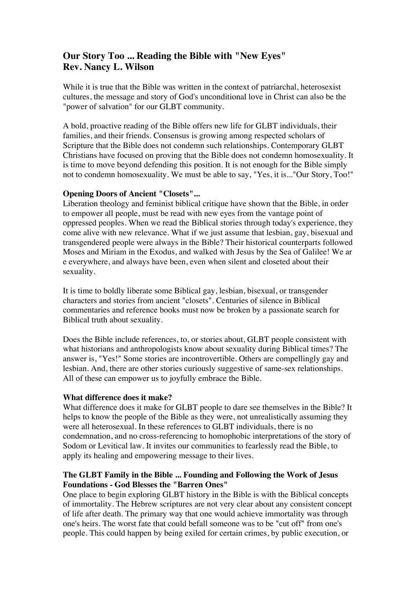# **Our Story Too ... Reading the Bible with "New Eyes" Rev. Nancy L. Wilson**

While it is true that the Bible was written in the context of patriarchal, heterosexist cultures, the message and story of God's unconditional love in Christ can also be the "power of salvation" for our GLBT community.

A bold, proactive reading of the Bible offers new life for GLBT individuals, their families, and their friends. Consensus is growing among respected scholars of Scripture that the Bible does not condemn such relationships. Contemporary GLBT Christians have focused on proving that the Bible does not condemn homosexuality. It is time to move beyond defending this position. It is not enough for the Bible simply not to condemn homosexuality. We must be able to say, "Yes, it is..."Our Story, Too!"

## **Opening Doors of Ancient "Closets"...**

Liberation theology and feminist biblical critique have shown that the Bible, in order to empower all people, must be read with new eyes from the vantage point of oppressed peoples. When we read the Biblical stories through today's experience, they come alive with new relevance. What if we just assume that lesbian, gay, bisexual and transgendered people were always in the Bible? Their historical counterparts followed Moses and Miriam in the Exodus, and walked with Jesus by the Sea of Galilee! We ar e everywhere, and always have been, even when silent and closeted about their sexuality.

It is time to boldly liberate some Biblical gay, lesbian, bisexual, or transgender characters and stories from ancient "closets". Centuries of silence in Biblical commentaries and reference books must now be broken by a passionate search for Biblical truth about sexuality.

Does the Bible include references, to, or stories about, GLBT people consistent with what historians and anthropologists know about sexuality during Biblical times? The answer is, "Yes!" Some stories are incontrovertible. Others are compellingly gay and lesbian. And, there are other stories curiously suggestive of same-sex relationships. All of these can empower us to joyfully embrace the Bible.

## **What difference does it make?**

What difference does it make for GLBT people to dare see themselves in the Bible? It helps to know the people of the Bible as they were, not unrealistically assuming they were all heterosexual. In these references to GLBT individuals, there is no condemnation, and no cross-referencing to homophobic interpretations of the story of Sodom or Levitical law. It invites our communities to fearlessly read the Bible, to apply its healing and empowering message to their lives.

## **The GLBT Family in the Bible ... Founding and Following the Work of Jesus Foundations - God Blesses the "Barren Ones"**

One place to begin exploring GLBT history in the Bible is with the Biblical concepts of immortality. The Hebrew scriptures are not very clear about any consistent concept of life after death. The primary way that one would achieve immortality was through one's heirs. The worst fate that could befall someone was to be "cut off" from one's people. This could happen by being exiled for certain crimes, by public execution, or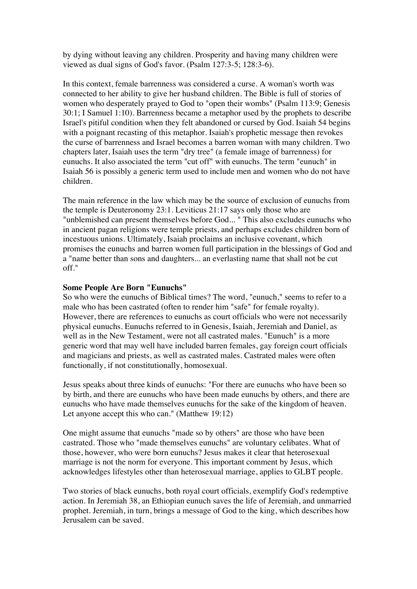by dying without leaving any children. Prosperity and having many children were viewed as dual signs of God's favor. (Psalm 127:3-5; 128:3-6).

In this context, female barrenness was considered a curse. A woman's worth was connected to her ability to give her husband children. The Bible is full of stories of women who desperately prayed to God to "open their wombs" (Psalm 113:9; Genesis 30:1; I Samuel 1:10). Barrenness became a metaphor used by the prophets to describe Israel's pitiful condition when they felt abandoned or cursed by God. Isaiah 54 begins with a poignant recasting of this metaphor. Isaiah's prophetic message then revokes the curse of barrenness and Israel becomes a barren woman with many children. Two chapters later, Isaiah uses the term "dry tree" (a female image of barrenness) for eunuchs. It also associated the term "cut off" with eunuchs. The term "eunuch" in Isaiah 56 is possibly a generic term used to include men and women who do not have children.

The main reference in the law which may be the source of exclusion of eunuchs from the temple is Deuteronomy 23:1. Leviticus 21:17 says only those who are "unblemished can present themselves before God... " This also excludes eunuchs who in ancient pagan religions were temple priests, and perhaps excludes children born of incestuous unions. Ultimately, Isaiah proclaims an inclusive covenant, which promises the eunuchs and barren women full participation in the blessings of God and a "name better than sons and daughters... an everlasting name that shall not be cut off."

### **Some People Are Born "Eunuchs"**

So who were the eunuchs of Biblical times? The word, "eunuch," seems to refer to a male who has been castrated (often to render him "safe" for female royalty). However, there are references to eunuchs as court officials who were not necessarily physical eunuchs. Eunuchs referred to in Genesis, Isaiah, Jeremiah and Daniel, as well as in the New Testament, were not all castrated males. "Eunuch" is a more generic word that may well have included barren females, gay foreign court officials and magicians and priests, as well as castrated males. Castrated males were often functionally, if not constitutionally, homosexual.

Jesus speaks about three kinds of eunuchs: "For there are eunuchs who have been so by birth, and there are eunuchs who have been made eunuchs by others, and there are eunuchs who have made themselves eunuchs for the sake of the kingdom of heaven. Let anyone accept this who can." (Matthew 19:12)

One might assume that eunuchs "made so by others" are those who have been castrated. Those who "made themselves eunuchs" are voluntary celibates. What of those, however, who were born eunuchs? Jesus makes it clear that heterosexual marriage is not the norm for everyone. This important comment by Jesus, which acknowledges lifestyles other than heterosexual marriage, applies to GLBT people.

Two stories of black eunuchs, both royal court officials, exemplify God's redemptive action. In Jeremiah 38, an Ethiopian eunuch saves the life of Jeremiah, and unmarried prophet. Jeremiah, in turn, brings a message of God to the king, which describes how Jerusalem can be saved.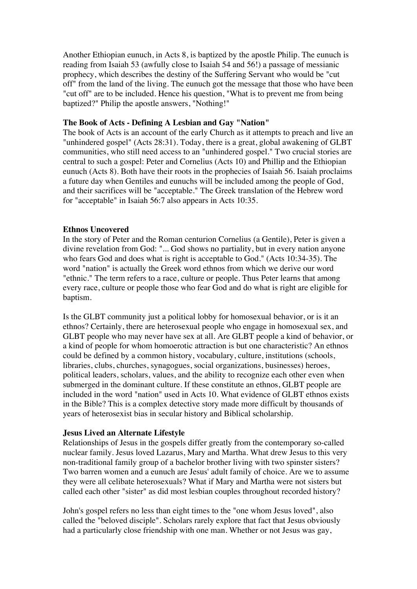Another Ethiopian eunuch, in Acts 8, is baptized by the apostle Philip. The eunuch is reading from Isaiah 53 (awfully close to Isaiah 54 and 56!) a passage of messianic prophecy, which describes the destiny of the Suffering Servant who would be "cut off" from the land of the living. The eunuch got the message that those who have been "cut off" are to be included. Hence his question, "What is to prevent me from being baptized?" Philip the apostle answers, "Nothing!"

### **The Book of Acts - Defining A Lesbian and Gay "Nation"**

The book of Acts is an account of the early Church as it attempts to preach and live an "unhindered gospel" (Acts 28:31). Today, there is a great, global awakening of GLBT communities, who still need access to an "unhindered gospel." Two crucial stories are central to such a gospel: Peter and Cornelius (Acts 10) and Phillip and the Ethiopian eunuch (Acts 8). Both have their roots in the prophecies of Isaiah 56. Isaiah proclaims a future day when Gentiles and eunuchs will be included among the people of God, and their sacrifices will be "acceptable." The Greek translation of the Hebrew word for "acceptable" in Isaiah 56:7 also appears in Acts 10:35.

### **Ethnos Uncovered**

In the story of Peter and the Roman centurion Cornelius (a Gentile), Peter is given a divine revelation from God: "... God shows no partiality, but in every nation anyone who fears God and does what is right is acceptable to God." (Acts 10:34-35). The word "nation" is actually the Greek word ethnos from which we derive our word "ethnic." The term refers to a race, culture or people. Thus Peter learns that among every race, culture or people those who fear God and do what is right are eligible for baptism.

Is the GLBT community just a political lobby for homosexual behavior, or is it an ethnos? Certainly, there are heterosexual people who engage in homosexual sex, and GLBT people who may never have sex at all. Are GLBT people a kind of behavior, or a kind of people for whom homoerotic attraction is but one characteristic? An ethnos could be defined by a common history, vocabulary, culture, institutions (schools, libraries, clubs, churches, synagogues, social organizations, businesses) heroes, political leaders, scholars, values, and the ability to recognize each other even when submerged in the dominant culture. If these constitute an ethnos, GLBT people are included in the word "nation" used in Acts 10. What evidence of GLBT ethnos exists in the Bible? This is a complex detective story made more difficult by thousands of years of heterosexist bias in secular history and Biblical scholarship.

#### **Jesus Lived an Alternate Lifestyle**

Relationships of Jesus in the gospels differ greatly from the contemporary so-called nuclear family. Jesus loved Lazarus, Mary and Martha. What drew Jesus to this very non-traditional family group of a bachelor brother living with two spinster sisters? Two barren women and a eunuch are Jesus' adult family of choice. Are we to assume they were all celibate heterosexuals? What if Mary and Martha were not sisters but called each other "sister" as did most lesbian couples throughout recorded history?

John's gospel refers no less than eight times to the "one whom Jesus loved", also called the "beloved disciple". Scholars rarely explore that fact that Jesus obviously had a particularly close friendship with one man. Whether or not Jesus was gay,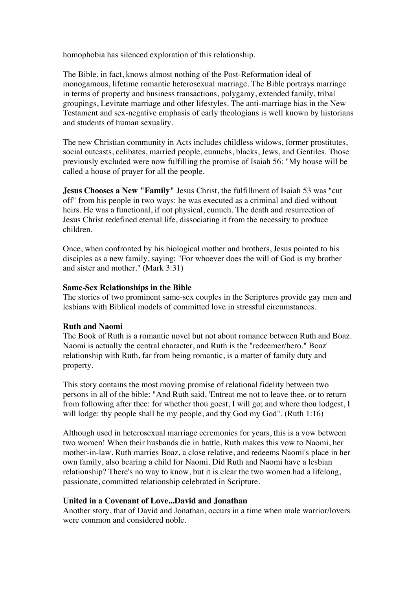homophobia has silenced exploration of this relationship.

The Bible, in fact, knows almost nothing of the Post-Reformation ideal of monogamous, lifetime romantic heterosexual marriage. The Bible portrays marriage in terms of property and business transactions, polygamy, extended family, tribal groupings, Levirate marriage and other lifestyles. The anti-marriage bias in the New Testament and sex-negative emphasis of early theologians is well known by historians and students of human sexuality.

The new Christian community in Acts includes childless widows, former prostitutes, social outcasts, celibates, married people, eunuchs, blacks, Jews, and Gentiles. Those previously excluded were now fulfilling the promise of Isaiah 56: "My house will be called a house of prayer for all the people.

**Jesus Chooses a New "Family"** Jesus Christ, the fulfillment of Isaiah 53 was "cut off" from his people in two ways: he was executed as a criminal and died without heirs. He was a functional, if not physical, eunuch. The death and resurrection of Jesus Christ redefined eternal life, dissociating it from the necessity to produce children.

Once, when confronted by his biological mother and brothers, Jesus pointed to his disciples as a new family, saying: "For whoever does the will of God is my brother and sister and mother." (Mark 3:31)

### **Same-Sex Relationships in the Bible**

The stories of two prominent same-sex couples in the Scriptures provide gay men and lesbians with Biblical models of committed love in stressful circumstances.

#### **Ruth and Naomi**

The Book of Ruth is a romantic novel but not about romance between Ruth and Boaz. Naomi is actually the central character, and Ruth is the "redeemer/hero." Boaz' relationship with Ruth, far from being romantic, is a matter of family duty and property.

This story contains the most moving promise of relational fidelity between two persons in all of the bible: "And Ruth said, 'Entreat me not to leave thee, or to return from following after thee: for whether thou goest, I will go; and where thou lodgest, I will lodge: thy people shall be my people, and thy God my God". (Ruth 1:16)

Although used in heterosexual marriage ceremonies for years, this is a vow between two women! When their husbands die in battle, Ruth makes this vow to Naomi, her mother-in-law. Ruth marries Boaz, a close relative, and redeems Naomi's place in her own family, also bearing a child for Naomi. Did Ruth and Naomi have a lesbian relationship? There's no way to know, but it is clear the two women had a lifelong, passionate, committed relationship celebrated in Scripture.

### **United in a Covenant of Love...David and Jonathan**

Another story, that of David and Jonathan, occurs in a time when male warrior/lovers were common and considered noble.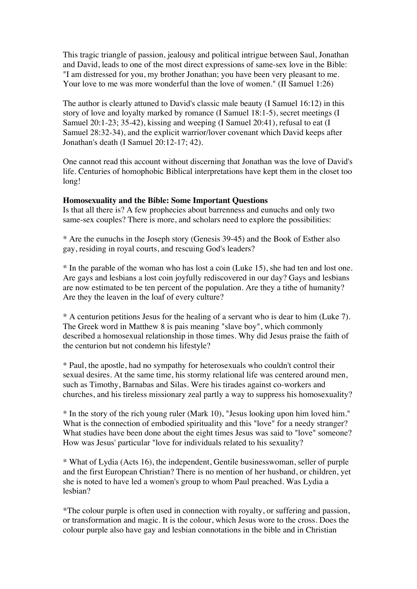This tragic triangle of passion, jealousy and political intrigue between Saul, Jonathan and David, leads to one of the most direct expressions of same-sex love in the Bible: "I am distressed for you, my brother Jonathan; you have been very pleasant to me. Your love to me was more wonderful than the love of women." (II Samuel 1:26)

The author is clearly attuned to David's classic male beauty (I Samuel 16:12) in this story of love and loyalty marked by romance (I Samuel 18:1-5), secret meetings (I Samuel 20:1-23; 35-42), kissing and weeping (I Samuel 20:41), refusal to eat (I Samuel 28:32-34), and the explicit warrior/lover covenant which David keeps after Jonathan's death (I Samuel 20:12-17; 42).

One cannot read this account without discerning that Jonathan was the love of David's life. Centuries of homophobic Biblical interpretations have kept them in the closet too long!

### **Homosexuality and the Bible: Some Important Questions**

Is that all there is? A few prophecies about barrenness and eunuchs and only two same-sex couples? There is more, and scholars need to explore the possibilities:

\* Are the eunuchs in the Joseph story (Genesis 39-45) and the Book of Esther also gay, residing in royal courts, and rescuing God's leaders?

\* In the parable of the woman who has lost a coin (Luke 15), she had ten and lost one. Are gays and lesbians a lost coin joyfully rediscovered in our day? Gays and lesbians are now estimated to be ten percent of the population. Are they a tithe of humanity? Are they the leaven in the loaf of every culture?

\* A centurion petitions Jesus for the healing of a servant who is dear to him (Luke 7). The Greek word in Matthew 8 is pais meaning "slave boy", which commonly described a homosexual relationship in those times. Why did Jesus praise the faith of the centurion but not condemn his lifestyle?

\* Paul, the apostle, had no sympathy for heterosexuals who couldn't control their sexual desires. At the same time, his stormy relational life was centered around men, such as Timothy, Barnabas and Silas. Were his tirades against co-workers and churches, and his tireless missionary zeal partly a way to suppress his homosexuality?

\* In the story of the rich young ruler (Mark 10), "Jesus looking upon him loved him." What is the connection of embodied spirituality and this "love" for a needy stranger? What studies have been done about the eight times Jesus was said to "love" someone? How was Jesus' particular "love for individuals related to his sexuality?

\* What of Lydia (Acts 16), the independent, Gentile businesswoman, seller of purple and the first European Christian? There is no mention of her husband, or children, yet she is noted to have led a women's group to whom Paul preached. Was Lydia a lesbian?

\*The colour purple is often used in connection with royalty, or suffering and passion, or transformation and magic. It is the colour, which Jesus wore to the cross. Does the colour purple also have gay and lesbian connotations in the bible and in Christian